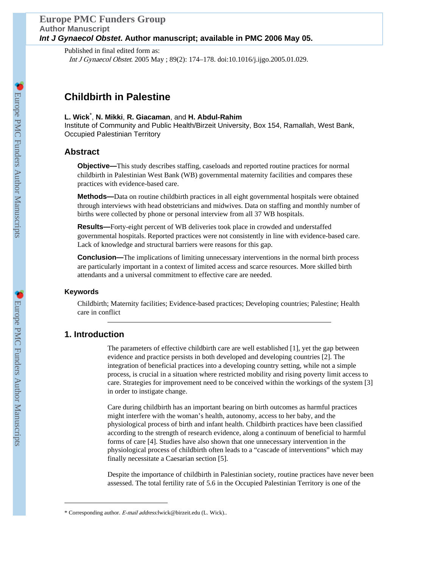### **Europe PMC Funders Group Author Manuscript** *Int J Gynaecol Obstet***. Author manuscript; available in PMC 2006 May 05.**

Published in final edited form as: Int J Gynaecol Obstet. 2005 May ; 89(2): 174–178. doi:10.1016/j.ijgo.2005.01.029.

# **Childbirth in Palestine**

### **L. Wick**\* , **N. Mikki**, **R. Giacaman**, and **H. Abdul-Rahim**

Institute of Community and Public Health/Birzeit University, Box 154, Ramallah, West Bank, Occupied Palestinian Territory

## **Abstract**

**Objective—**This study describes staffing, caseloads and reported routine practices for normal childbirth in Palestinian West Bank (WB) governmental maternity facilities and compares these practices with evidence-based care.

**Methods—**Data on routine childbirth practices in all eight governmental hospitals were obtained through interviews with head obstetricians and midwives. Data on staffing and monthly number of births were collected by phone or personal interview from all 37 WB hospitals.

**Results—**Forty-eight percent of WB deliveries took place in crowded and understaffed governmental hospitals. Reported practices were not consistently in line with evidence-based care. Lack of knowledge and structural barriers were reasons for this gap.

**Conclusion—**The implications of limiting unnecessary interventions in the normal birth process are particularly important in a context of limited access and scarce resources. More skilled birth attendants and a universal commitment to effective care are needed.

### **Keywords**

Childbirth; Maternity facilities; Evidence-based practices; Developing countries; Palestine; Health care in conflict

### **1. Introduction**

The parameters of effective childbirth care are well established [1], yet the gap between evidence and practice persists in both developed and developing countries [2]. The integration of beneficial practices into a developing country setting, while not a simple process, is crucial in a situation where restricted mobility and rising poverty limit access to care. Strategies for improvement need to be conceived within the workings of the system [3] in order to instigate change.

Care during childbirth has an important bearing on birth outcomes as harmful practices might interfere with the woman's health, autonomy, access to her baby, and the physiological process of birth and infant health. Childbirth practices have been classified according to the strength of research evidence, along a continuum of beneficial to harmful forms of care [4]. Studies have also shown that one unnecessary intervention in the physiological process of childbirth often leads to a "cascade of interventions" which may finally necessitate a Caesarian section [5].

Despite the importance of childbirth in Palestinian society, routine practices have never been assessed. The total fertility rate of 5.6 in the Occupied Palestinian Territory is one of the

<sup>\*</sup> Corresponding author. E-mail address:lwick@birzeit.edu (L. Wick)..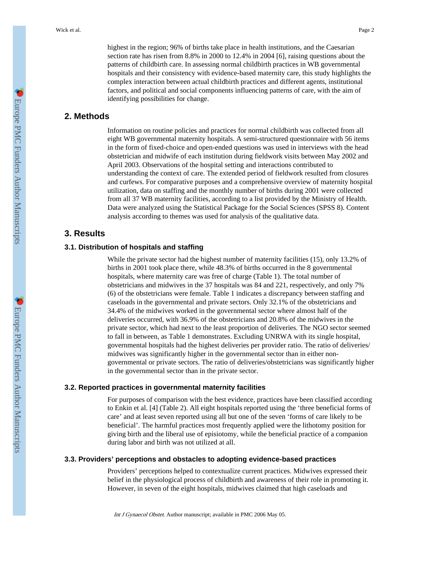highest in the region; 96% of births take place in health institutions, and the Caesarian section rate has risen from 8.8% in 2000 to 12.4% in 2004 [6], raising questions about the patterns of childbirth care. In assessing normal childbirth practices in WB governmental hospitals and their consistency with evidence-based maternity care, this study highlights the complex interaction between actual childbirth practices and different agents, institutional factors, and political and social components influencing patterns of care, with the aim of identifying possibilities for change.

### **2. Methods**

Information on routine policies and practices for normal childbirth was collected from all eight WB governmental maternity hospitals. A semi-structured questionnaire with 56 items in the form of fixed-choice and open-ended questions was used in interviews with the head obstetrician and midwife of each institution during fieldwork visits between May 2002 and April 2003. Observations of the hospital setting and interactions contributed to understanding the context of care. The extended period of fieldwork resulted from closures and curfews. For comparative purposes and a comprehensive overview of maternity hospital utilization, data on staffing and the monthly number of births during 2001 were collected from all 37 WB maternity facilities, according to a list provided by the Ministry of Health. Data were analyzed using the Statistical Package for the Social Sciences (SPSS 8). Content analysis according to themes was used for analysis of the qualitative data.

## **3. Results**

#### **3.1. Distribution of hospitals and staffing**

While the private sector had the highest number of maternity facilities (15), only 13.2% of births in 2001 took place there, while 48.3% of births occurred in the 8 governmental hospitals, where maternity care was free of charge (Table 1). The total number of obstetricians and midwives in the 37 hospitals was 84 and 221, respectively, and only 7% (6) of the obstetricians were female. Table 1 indicates a discrepancy between staffing and caseloads in the governmental and private sectors. Only 32.1% of the obstetricians and 34.4% of the midwives worked in the governmental sector where almost half of the deliveries occurred, with 36.9% of the obstetricians and 20.8% of the midwives in the private sector, which had next to the least proportion of deliveries. The NGO sector seemed to fall in between, as Table 1 demonstrates. Excluding UNRWA with its single hospital, governmental hospitals had the highest deliveries per provider ratio. The ratio of deliveries/ midwives was significantly higher in the governmental sector than in either nongovernmental or private sectors. The ratio of deliveries/obstetricians was significantly higher in the governmental sector than in the private sector.

#### **3.2. Reported practices in governmental maternity facilities**

For purposes of comparison with the best evidence, practices have been classified according to Enkin et al. [4] (Table 2). All eight hospitals reported using the 'three beneficial forms of care' and at least seven reported using all but one of the seven 'forms of care likely to be beneficial'. The harmful practices most frequently applied were the lithotomy position for giving birth and the liberal use of episiotomy, while the beneficial practice of a companion during labor and birth was not utilized at all.

#### **3.3. Providers' perceptions and obstacles to adopting evidence-based practices**

Providers' perceptions helped to contextualize current practices. Midwives expressed their belief in the physiological process of childbirth and awareness of their role in promoting it. However, in seven of the eight hospitals, midwives claimed that high caseloads and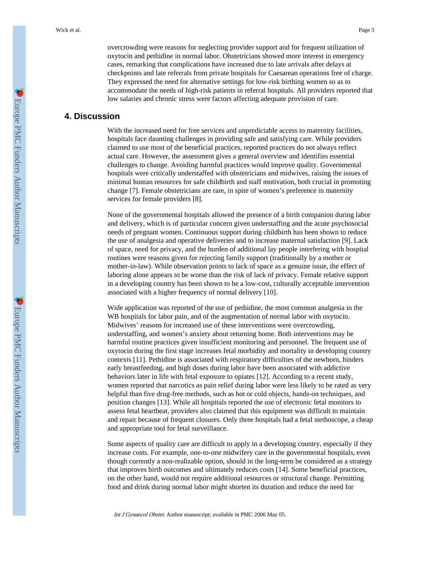overcrowding were reasons for neglecting provider support and for frequent utilization of oxytocin and pethidine in normal labor. Obstetricians showed more interest in emergency cases, remarking that complications have increased due to late arrivals after delays at checkpoints and late referrals from private hospitals for Caesarean operations free of charge. They expressed the need for alternative settings for low-risk birthing women so as to accommodate the needs of high-risk patients in referral hospitals. All providers reported that low salaries and chronic stress were factors affecting adequate provision of care.

### **4. Discussion**

With the increased need for free services and unpredictable access to maternity facilities, hospitals face daunting challenges in providing safe and satisfying care. While providers claimed to use most of the beneficial practices, reported practices do not always reflect actual care. However, the assessment gives a general overview and identifies essential challenges to change. Avoiding harmful practices would improve quality. Governmental hospitals were critically understaffed with obstetricians and midwives, raising the issues of minimal human resources for safe childbirth and staff motivation, both crucial in promoting change [7]. Female obstetricians are rare, in spite of women's preference in maternity services for female providers [8].

None of the governmental hospitals allowed the presence of a birth companion during labor and delivery, which is of particular concern given understaffing and the acute psychosocial needs of pregnant women. Continuous support during childbirth has been shown to reduce the use of analgesia and operative deliveries and to increase maternal satisfaction [9]. Lack of space, need for privacy, and the burden of additional lay people interfering with hospital routines were reasons given for rejecting family support (traditionally by a mother or mother-in-law). While observation points to lack of space as a genuine issue, the effect of laboring alone appears to be worse than the risk of lack of privacy. Female relative support in a developing country has been shown to be a low-cost, culturally acceptable intervention associated with a higher frequency of normal delivery [10].

Wide application was reported of the use of pethidine, the most common analgesia in the WB hospitals for labor pain, and of the augmentation of normal labor with oxytocin. Midwives' reasons for increased use of these interventions were overcrowding, understaffing, and women's anxiety about returning home. Both interventions may be harmful routine practices given insufficient monitoring and personnel. The frequent use of oxytocin during the first stage increases fetal morbidity and mortality in developing country contexts [11]. Pethidine is associated with respiratory difficulties of the newborn, hinders early breastfeeding, and high doses during labor have been associated with addictive behaviors later in life with fetal exposure to opiates [12]. According to a recent study, women reported that narcotics as pain relief during labor were less likely to be rated as very helpful than five drug-free methods, such as hot or cold objects, hands-on techniques, and position changes [13]. While all hospitals reported the use of electronic fetal monitors to assess fetal heartbeat, providers also claimed that this equipment was difficult to maintain and repair because of frequent closures. Only three hospitals had a fetal stethoscope, a cheap and appropriate tool for fetal surveillance.

Some aspects of quality care are difficult to apply in a developing country, especially if they increase costs. For example, one-to-one midwifery care in the governmental hospitals, even though currently a non-realizable option, should in the long-term be considered as a strategy that improves birth outcomes and ultimately reduces costs [14]. Some beneficial practices, on the other hand, would not require additional resources or structural change. Permitting food and drink during normal labor might shorten its duration and reduce the need for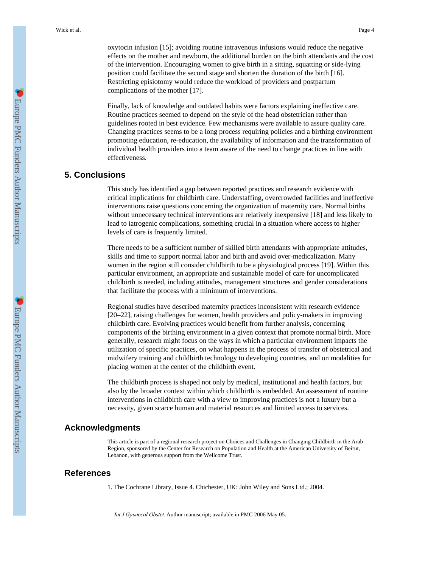oxytocin infusion [15]; avoiding routine intravenous infusions would reduce the negative effects on the mother and newborn, the additional burden on the birth attendants and the cost of the intervention. Encouraging women to give birth in a sitting, squatting or side-lying position could facilitate the second stage and shorten the duration of the birth [16]. Restricting episiotomy would reduce the workload of providers and postpartum complications of the mother [17].

Finally, lack of knowledge and outdated habits were factors explaining ineffective care. Routine practices seemed to depend on the style of the head obstetrician rather than guidelines rooted in best evidence. Few mechanisms were available to assure quality care. Changing practices seems to be a long process requiring policies and a birthing environment promoting education, re-education, the availability of information and the transformation of individual health providers into a team aware of the need to change practices in line with effectiveness.

# **5. Conclusions**

This study has identified a gap between reported practices and research evidence with critical implications for childbirth care. Understaffing, overcrowded facilities and ineffective interventions raise questions concerning the organization of maternity care. Normal births without unnecessary technical interventions are relatively inexpensive [18] and less likely to lead to iatrogenic complications, something crucial in a situation where access to higher levels of care is frequently limited.

There needs to be a sufficient number of skilled birth attendants with appropriate attitudes, skills and time to support normal labor and birth and avoid over-medicalization. Many women in the region still consider childbirth to be a physiological process [19]. Within this particular environment, an appropriate and sustainable model of care for uncomplicated childbirth is needed, including attitudes, management structures and gender considerations that facilitate the process with a minimum of interventions.

Regional studies have described maternity practices inconsistent with research evidence [20–22], raising challenges for women, health providers and policy-makers in improving childbirth care. Evolving practices would benefit from further analysis, concerning components of the birthing environment in a given context that promote normal birth. More generally, research might focus on the ways in which a particular environment impacts the utilization of specific practices, on what happens in the process of transfer of obstetrical and midwifery training and childbirth technology to developing countries, and on modalities for placing women at the center of the childbirth event.

The childbirth process is shaped not only by medical, institutional and health factors, but also by the broader context within which childbirth is embedded. An assessment of routine interventions in childbirth care with a view to improving practices is not a luxury but a necessity, given scarce human and material resources and limited access to services.

### **Acknowledgments**

This article is part of a regional research project on Choices and Challenges in Changing Childbirth in the Arab Region, sponsored by the Center for Research on Population and Health at the American University of Beirut, Lebanon, with generous support from the Wellcome Trust.

### **References**

1. The Cochrane Library, Issue 4. Chichester, UK: John Wiley and Sons Ltd.; 2004.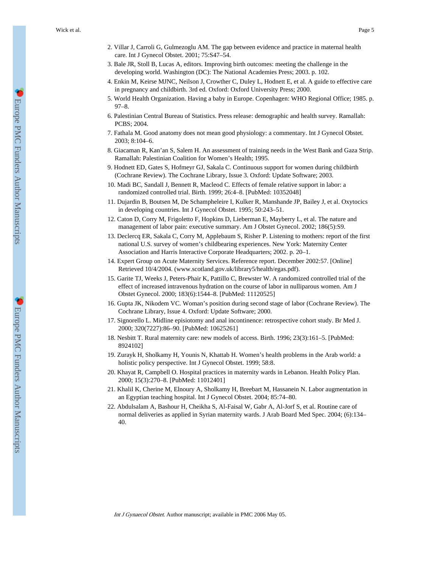- 2. Villar J, Carroli G, Gulmezoglu AM. The gap between evidence and practice in maternal health care. Int J Gynecol Obstet. 2001; 75:S47–54.
- 3. Bale JR, Stoll B, Lucas A, editors. Improving birth outcomes: meeting the challenge in the developing world. Washington (DC): The National Academies Press; 2003. p. 102.
- 4. Enkin M, Keirse MJNC, Neilson J, Crowther C, Duley L, Hodnett E, et al. A guide to effective care in pregnancy and childbirth. 3rd ed. Oxford: Oxford University Press; 2000.
- 5. World Health Organization. Having a baby in Europe. Copenhagen: WHO Regional Office; 1985. p. 97–8.
- 6. Palestinian Central Bureau of Statistics. Press release: demographic and health survey. Ramallah: PCBS; 2004.
- 7. Fathala M. Good anatomy does not mean good physiology: a commentary. Int J Gynecol Obstet. 2003; 8:104–6.
- 8. Giacaman R, Kan'an S, Salem H. An assessment of training needs in the West Bank and Gaza Strip. Ramallah: Palestinian Coalition for Women's Health; 1995.
- 9. Hodnett ED, Gates S, Hofmeyr GJ, Sakala C. Continuous support for women during childbirth (Cochrane Review). The Cochrane Library, Issue 3. Oxford: Update Software; 2003.
- 10. Madi BC, Sandall J, Bennett R, Macleod C. Effects of female relative support in labor: a randomized controlled trial. Birth. 1999; 26:4–8. [PubMed: 10352048]
- 11. Dujardin B, Boutsen M, De Schampheleire I, Kulker R, Manshande JP, Bailey J, et al. Oxytocics in developing countries. Int J Gynecol Obstet. 1995; 50:243–51.
- 12. Caton D, Corry M, Frigoletto F, Hopkins D, Lieberman E, Mayberry L, et al. The nature and management of labor pain: executive summary. Am J Obstet Gynecol. 2002; 186(5):S9.
- 13. Declercq ER, Sakala C, Corry M, Applebaum S, Risher P. Listening to mothers: report of the first national U.S. survey of women's childbearing experiences. New York: Maternity Center Association and Harris Interactive Corporate Headquarters; 2002. p. 20–1.
- 14. Expert Group on Acute Maternity Services. Reference report. December 2002:57. [Online] Retrieved 10/4/2004. (www.scotland.gov.uk/library5/health/egas.pdf).
- 15. Garite TJ, Weeks J, Peters-Phair K, Pattillo C, Brewster W. A randomized controlled trial of the effect of increased intravenous hydration on the course of labor in nulliparous women. Am J Obstet Gynecol. 2000; 183(6):1544–8. [PubMed: 11120525]
- 16. Gupta JK, Nikodem VC. Woman's position during second stage of labor (Cochrane Review). The Cochrane Library, Issue 4. Oxford: Update Software; 2000.
- 17. Signorello L. Midline episiotomy and anal incontinence: retrospective cohort study. Br Med J. 2000; 320(7227):86–90. [PubMed: 10625261]
- 18. Nesbitt T. Rural maternity care: new models of access. Birth. 1996; 23(3):161–5. [PubMed: 8924102]
- 19. Zurayk H, Sholkamy H, Younis N, Khattab H. Women's health problems in the Arab world: a holistic policy perspective. Int J Gynecol Obstet. 1999; 58:8.
- 20. Khayat R, Campbell O. Hospital practices in maternity wards in Lebanon. Health Policy Plan. 2000; 15(3):270–8. [PubMed: 11012401]
- 21. Khalil K, Cherine M, Elnoury A, Sholkamy H, Breebart M, Hassanein N. Labor augmentation in an Egyptian teaching hospital. Int J Gynecol Obstet. 2004; 85:74–80.
- 22. Abdulsalam A, Bashour H, Cheikha S, Al-Faisal W, Gabr A, Al-Jorf S, et al. Routine care of normal deliveries as applied in Syrian maternity wards. J Arab Board Med Spec. 2004; (6):134– 40.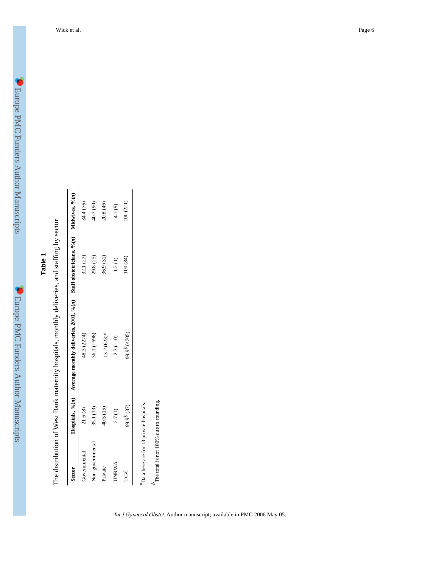| ٦ |  |
|---|--|
|   |  |
|   |  |
|   |  |

| Sector           |                        | Hospitals, $\varphi_0(n)$ A verage monthly deliveries, 2001, $\varphi_0(n)$ Staff obstetricians, $\varphi_0(n)$ Midwives, $\varphi_0(n)$ |           |           |
|------------------|------------------------|------------------------------------------------------------------------------------------------------------------------------------------|-----------|-----------|
| Governmental     | 21.6(8)                | 48.3 (2274)                                                                                                                              | 32.1 (27) | 34.4 (76) |
| Non-governmental | 35.1 (13)              | 36.1 (1698)                                                                                                                              | 29.8 (25) | 40.7 (90) |
| Private          | 40.5 (15)              | $13.2(623)^{4}$                                                                                                                          | 36.9 (31) | 20.8 (46) |
| UNRWA            | 2.7(1)                 | 2.3 (110)                                                                                                                                | 1.2(1)    | 4.1(9)    |
| Total            | 99.9 <sup>b</sup> (37) | 99.9 <sup>b</sup> (4705)                                                                                                                 | 100 (84)  | 100 (221) |

d otoff: i.<br>Jolis  $\frac{1}{2}$  $\frac{1}{2}$ Á  $\frac{1}{2}$  $\ddot{i}$  $\frac{1}{2}$  $\ddot{P}$  $\epsilon$  W<sub>c</sub>  $\cdot$ :  $\frac{1}{2}$  of  $\frac{1}{2}$ É

 ${}^{\rm a}$  Data here are for 13 private hospitals. Data here are for 13 private hospitals.  $b_{\mbox{\scriptsize The total}}$  is not 100% due to rounding.

The total is not 100% due to rounding.